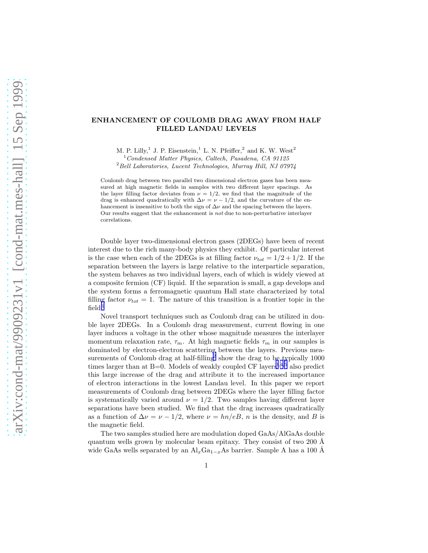## ENHANCEMENT OF COULOMB DRAG AWAY FROM HALF FILLED LANDAU LEVELS

M. P. Lilly,<sup>1</sup> J. P. Eisenstein,<sup>1</sup> L. N. Pfeiffer,<sup>2</sup> and K. W. West<sup>2</sup>

<sup>1</sup>Condensed Matter Physics, Caltech, Pasadena, CA 91125

 $^{2}$ Bell Laboratories, Lucent Technologies, Murray Hill, NJ 07974

Coulomb drag between two parallel two dimensional electron gases has been measured at high magnetic fields in samples with two different layer spacings. As the layer filling factor deviates from  $\nu = 1/2$ , we find that the magnitude of the drag is enhanced quadratically with  $\Delta \nu = \nu - 1/2$ , and the curvature of the enhancement is insensitive to both the sign of  $\Delta \nu$  and the spacing between the layers. Our results suggest that the enhancement is not due to non-perturbative interlayer correlations.

Double layer two-dimensional electron gases (2DEGs) have been of recent interest due to the rich many-body physics they exhibit. Of particular interest is the case when each of the 2DEGs is at filling factor  $\nu_{tot} = 1/2 + 1/2$ . If the separation between the layers is large relative to the interparticle separation, the system behaves as two individual layers, each of which is widely viewed at a composite fermion (CF) liquid. If the separation is small, a gap develops and the system forms a ferromagnetic quantum Hall state characterized by total filling factor  $\nu_{tot} = 1$ . The nature of this transition is a frontier topic in the  $field.<sup>1</sup>$  $field.<sup>1</sup>$  $field.<sup>1</sup>$ 

Novel transport techniques such as Coulomb drag can be utilized in double layer 2DEGs. In a Coulomb drag measurement, current flowing in one layer induces a voltage in the other whose magnitude measures the interlayer momentum relaxation rate,  $\tau_m$ . At high magnetic fields  $\tau_m$  in our samples is dominated by electron-electron scattering between the layers. Previous measurements of Coulomb drag at half-filling  $\frac{3}{2}$  $\frac{3}{2}$  $\frac{3}{2}$  show the drag to be typically 1000 times larger than at  $B=0$ . Models of weakly coupled CF layers<sup>[3](#page-3-0),[4](#page-3-0),[5](#page-3-0)</sup> also predict this large increase of the drag and attribute it to the increased importance of electron interactions in the lowest Landau level. In this paper we report measurements of Coulomb drag between 2DEGs where the layer filling factor is systematically varied around  $\nu = 1/2$ . Two samples having different layer separations have been studied. We find that the drag increases quadratically as a function of  $\Delta \nu = \nu - 1/2$ , where  $\nu = \frac{hn}{eB}$ , n is the density, and B is the magnetic field.

The two samples studied here are modulation doped GaAs/AlGaAs double quantum wells grown by molecular beam epitaxy. They consist of two 200 Å wide GaAs wells separated by an  $\text{Al}_x\text{Ga}_{1-x}\text{As barrier}$ . Sample A has a 100 Å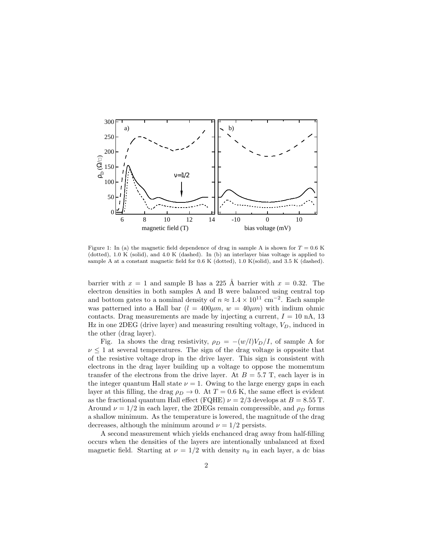

Figure 1: In (a) the magnetic field dependence of drag in sample A is shown for  $T = 0.6$  K (dotted), 1.0 K (solid), and 4.0 K (dashed). In (b) an interlayer bias voltage is applied to sample A at a constant magnetic field for 0.6 K (dotted), 1.0 K(solid), and 3.5 K (dashed).

barrier with  $x = 1$  and sample B has a 225 Å barrier with  $x = 0.32$ . The electron densities in both samples A and B were balanced using central top and bottom gates to a nominal density of  $n \approx 1.4 \times 10^{11}$  cm<sup>-2</sup>. Each sample was patterned into a Hall bar  $(l = 400 \mu m, w = 40 \mu m)$  with indium ohmic contacts. Drag measurements are made by injecting a current,  $I = 10$  nA, 13 Hz in one 2DEG (drive layer) and measuring resulting voltage,  $V_D$ , induced in the other (drag layer).

Fig. 1a shows the drag resistivity,  $\rho_D = -(w/l)V_D/I$ , of sample A for  $\nu \leq 1$  at several temperatures. The sign of the drag voltage is opposite that of the resistive voltage drop in the drive layer. This sign is consistent with electrons in the drag layer building up a voltage to oppose the momemtum transfer of the electrons from the drive layer. At  $B = 5.7$  T, each layer is in the integer quantum Hall state  $\nu = 1$ . Owing to the large energy gaps in each layer at this filling, the drag  $\rho_D \rightarrow 0$ . At  $T = 0.6$  K, the same effect is evident as the fractional quantum Hall effect (FQHE)  $\nu = 2/3$  develops at  $B = 8.55$  T. Around  $\nu = 1/2$  in each layer, the 2DEGs remain compressible, and  $\rho_D$  forms a shallow minimum. As the temperature is lowered, the magnitude of the drag decreases, although the minimum around  $\nu = 1/2$  persists.

A second measurement which yields enchanced drag away from half-filling occurs when the densities of the layers are intentionally unbalanced at fixed magnetic field. Starting at  $\nu = 1/2$  with density  $n_0$  in each layer, a dc bias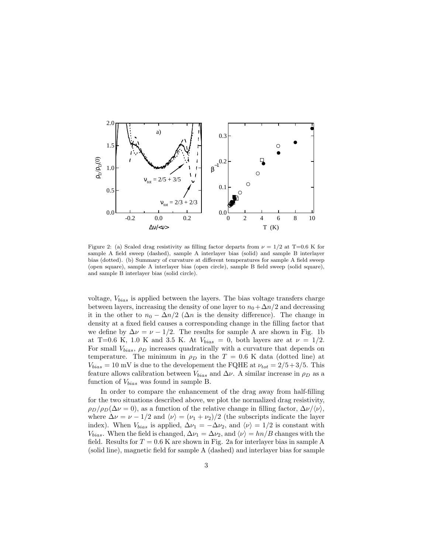

Figure 2: (a) Scaled drag resistivity as filling factor departs from  $\nu = 1/2$  at T=0.6 K for sample A field sweep (dashed), sample A interlayer bias (solid) and sample B interlayer bias (dotted). (b) Summary of curvature at different temperatures for sample A field sweep (open square), sample A interlayer bias (open circle), sample B field sweep (solid square), and sample B interlayer bias (solid circle).

voltage,  $V_{bias}$  is applied between the layers. The bias voltage transfers charge between layers, increasing the density of one layer to  $n_0 + \Delta n/2$  and decreasing it in the other to  $n_0 - \Delta n/2$  ( $\Delta n$  is the density difference). The change in density at a fixed field causes a corresponding change in the filling factor that we define by  $\Delta \nu = \nu - 1/2$ . The results for sample A are shown in Fig. 1b at T=0.6 K, 1.0 K and 3.5 K. At  $V_{bias} = 0$ , both layers are at  $\nu = 1/2$ . For small  $V_{bias}$ ,  $\rho_D$  increases quadratically with a curvature that depends on temperature. The minimum in  $\rho_D$  in the T = 0.6 K data (dotted line) at  $V_{bias} = 10$  mV is due to the developement the FQHE at  $\nu_{tot} = 2/5 + 3/5$ . This feature allows calibration between  $V_{bias}$  and  $\Delta \nu$ . A similar increase in  $\rho_D$  as a function of  $V_{bias}$  was found in sample B.

In order to compare the enhancement of the drag away from half-filling for the two situations described above, we plot the normalized drag resistivity,  $\rho_D/\rho_D(\Delta\nu=0)$ , as a function of the relative change in filling factor,  $\Delta\nu/\langle\nu\rangle$ , where  $\Delta \nu = \nu - 1/2$  and  $\langle \nu \rangle = (\nu_1 + \nu_2)/2$  (the subscripts indicate the layer index). When  $V_{bias}$  is applied,  $\Delta \nu_1 = -\Delta \nu_2$ , and  $\langle \nu \rangle = 1/2$  is constant with  $V_{bias}$ . When the field is changed,  $\Delta \nu_1 = \Delta \nu_2$ , and  $\langle \nu \rangle = h n / B$  changes with the field. Results for  $T = 0.6$  K are shown in Fig. 2a for interlayer bias in sample A (solid line), magnetic field for sample A (dashed) and interlayer bias for sample